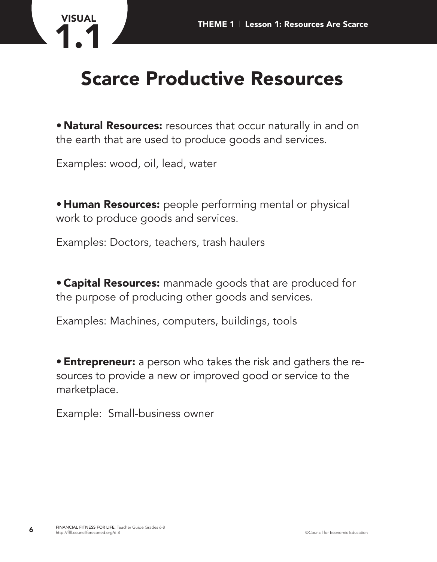

## **Scarce Productive Resources**

**• Natural Resources:** resources that occur naturally in and on the earth that are used to produce goods and services.

Examples: wood, oil, lead, water

**• Human Resources:** people performing mental or physical work to produce goods and services.

Examples: Doctors, teachers, trash haulers

**• Capital Resources:** manmade goods that are produced for the purpose of producing other goods and services.

Examples: Machines, computers, buildings, tools

**• Entrepreneur:** a person who takes the risk and gathers the resources to provide a new or improved good or service to the marketplace.

Example: Small-business owner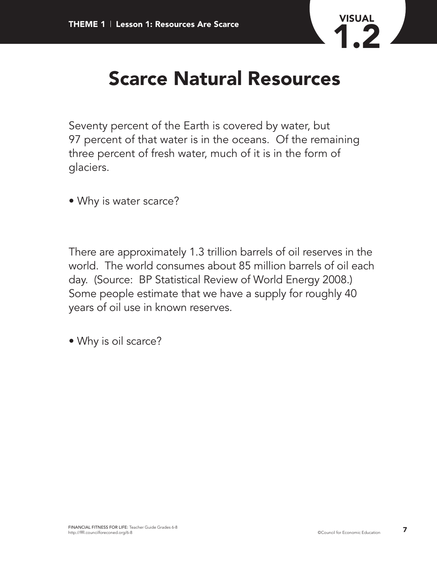

## **Scarce Natural Resources**

Seventy percent of the Earth is covered by water, but 97 percent of that water is in the oceans. Of the remaining three percent of fresh water, much of it is in the form of glaciers.

• Why is water scarce?

There are approximately 1.3 trillion barrels of oil reserves in the world. The world consumes about 85 million barrels of oil each day. (Source: BP Statistical Review of World Energy 2008.) Some people estimate that we have a supply for roughly 40 years of oil use in known reserves.

• Why is oil scarce?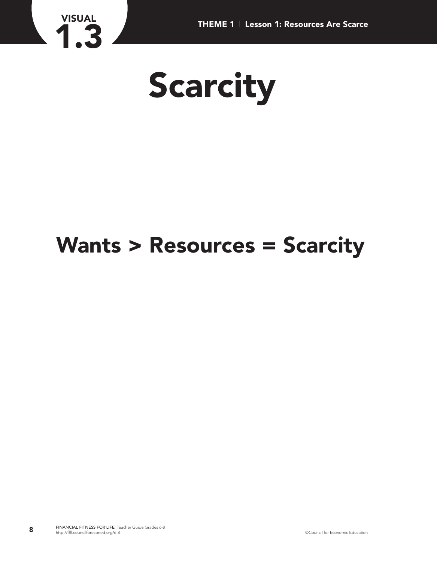

## **Wants > Resources = Scarcity**

**VISUAL**